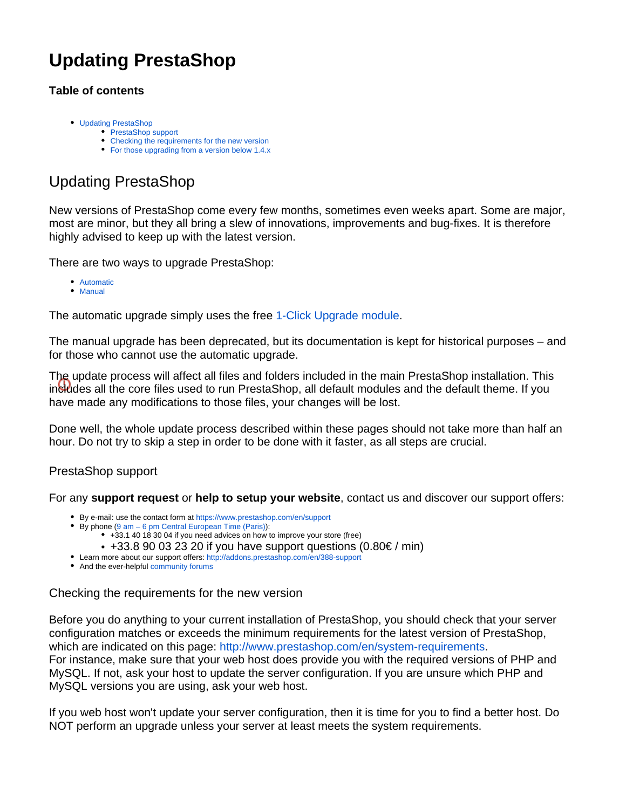# **Updating PrestaShop**

### **Table of contents**

- [Updating PrestaShop](#page-0-0)
	- [PrestaShop support](#page-0-1)
	- [Checking the requirements for the new version](#page-0-2) • [For those upgrading from a version below 1.4.x](#page-0-3)

## <span id="page-0-0"></span>Updating PrestaShop

New versions of PrestaShop come every few months, sometimes even weeks apart. Some are major, most are minor, but they all bring a slew of innovations, improvements and bug-fixes. It is therefore highly advised to keep up with the latest version.

There are two ways to upgrade PrestaShop:

- [Automatic](https://doc.prestashop.com/display/PS15/Automatic+update)
- [Manual](https://doc.prestashop.com/display/PS15/Manual+update)

The automatic upgrade simply uses the free [1-Click Upgrade module.](http://addons.prestashop.com/en/administration-tools-prestashop-modules/5496-1-click-upgrade-autoupgrade.html)

The manual upgrade has been deprecated, but its documentation is kept for historical purposes – and for those who cannot use the automatic upgrade.

The update process will affect all files and folders included in the main PrestaShop installation. This includes all the core files used to run PrestaShop, all default modules and the default theme. If you have made any modifications to those files, your changes will be lost.

Done well, the whole update process described within these pages should not take more than half an hour. Do not try to skip a step in order to be done with it faster, as all steps are crucial.

### <span id="page-0-1"></span>PrestaShop support

For any **support request** or **help to setup your website**, contact us and discover our support offers:

- By e-mail: use the contact form at <https://www.prestashop.com/en/support>
- By phone (9 am  $-$  6 pm Central European Time (Paris)):
	- +33.1 40 18 30 04 if you need advices on how to improve your store (free)
	- $\cdot$  +33.8 90 03 23 20 if you have support questions (0.80 $\in$  / min)
- Learn more about our support offers:<http://addons.prestashop.com/en/388-support>
- And the ever-helpful [community forums](http://www.prestashop.com/forums/)

#### <span id="page-0-2"></span>Checking the requirements for the new version

Before you do anything to your current installation of PrestaShop, you should check that your server configuration matches or exceeds the minimum requirements for the latest version of PrestaShop, which are indicated on this page: <http://www.prestashop.com/en/system-requirements>. For instance, make sure that your web host does provide you with the required versions of PHP and MySQL. If not, ask your host to update the server configuration. If you are unsure which PHP and MySQL versions you are using, ask your web host.

<span id="page-0-3"></span>If you web host won't update your server configuration, then it is time for you to find a better host. Do NOT perform an upgrade unless your server at least meets the system requirements.